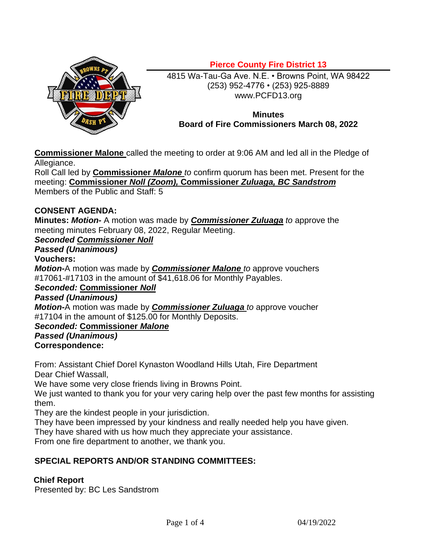

# **Pierce County Fire District 13**

4815 Wa-Tau-Ga Ave. N.E. • Browns Point, WA 98422 (253) 952-4776 • (253) 925-8889 www.PCFD13.org

#### **Minutes Board of Fire Commissioners March 08, 2022**

**Commissioner Malone** called the meeting to order at 9:06 AM and led all in the Pledge of Allegiance.

Roll Call led by **Commissioner** *Malone to* confirm quorum has been met. Present for the meeting: **Commissioner** *Noll (Zoom),* **Commissioner** *Zuluaga, BC Sandstrom* Members of the Public and Staff: 5

#### **CONSENT AGENDA:**

**Minutes:** *Motion-* A motion was made by *Commissioner Zuluaga to* approve the meeting minutes February 08, 2022, Regular Meeting.

### *Seconded Commissioner Noll*

# *Passed (Unanimous)*

#### **Vouchers:**

*Motion-*A motion was made by *Commissioner Malone to* approve vouchers #17061-#17103 in the amount of \$41,618.06 for Monthly Payables.

# *Seconded:* **Commissioner** *Noll*

#### *Passed (Unanimous)*

*Motion-*A motion was made by *Commissioner Zuluaga to* approve voucher #17104 in the amount of \$125.00 for Monthly Deposits.

# *Seconded:* **Commissioner** *Malone*

# *Passed (Unanimous)*

#### **Correspondence:**

From: Assistant Chief Dorel Kynaston Woodland Hills Utah, Fire Department Dear Chief Wassall,

We have some very close friends living in Browns Point.

We just wanted to thank you for your very caring help over the past few months for assisting them.

They are the kindest people in your jurisdiction.

They have been impressed by your kindness and really needed help you have given.

They have shared with us how much they appreciate your assistance.

From one fire department to another, we thank you.

#### **SPECIAL REPORTS AND/OR STANDING COMMITTEES:**

#### **Chief Report**

Presented by: BC Les Sandstrom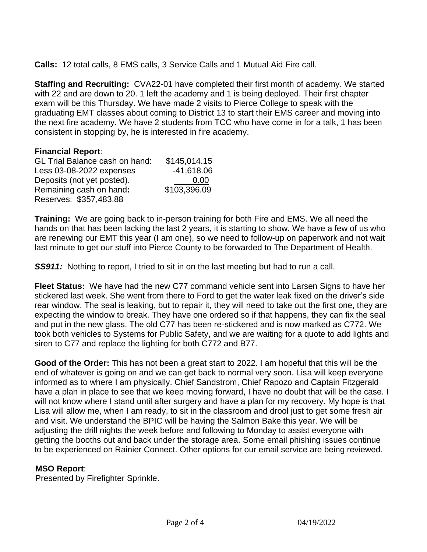**Calls:** 12 total calls, 8 EMS calls, 3 Service Calls and 1 Mutual Aid Fire call.

**Staffing and Recruiting:** CVA22-01 have completed their first month of academy. We started with 22 and are down to 20. 1 left the academy and 1 is being deployed. Their first chapter exam will be this Thursday. We have made 2 visits to Pierce College to speak with the graduating EMT classes about coming to District 13 to start their EMS career and moving into the next fire academy. We have 2 students from TCC who have come in for a talk, 1 has been consistent in stopping by, he is interested in fire academy.

#### **Financial Report**:

| <b>GL Trial Balance cash on hand:</b> | \$145,014.15 |
|---------------------------------------|--------------|
| Less 03-08-2022 expenses              | $-41,618.06$ |
| Deposits (not yet posted).            | 0.00         |
| Remaining cash on hand:               | \$103,396.09 |
| Reserves: \$357,483.88                |              |

**Training:** We are going back to in-person training for both Fire and EMS. We all need the hands on that has been lacking the last 2 years, it is starting to show. We have a few of us who are renewing our EMT this year (I am one), so we need to follow-up on paperwork and not wait last minute to get our stuff into Pierce County to be forwarded to The Department of Health.

**SS911:** Nothing to report, I tried to sit in on the last meeting but had to run a call.

**Fleet Status:** We have had the new C77 command vehicle sent into Larsen Signs to have her stickered last week. She went from there to Ford to get the water leak fixed on the driver's side rear window. The seal is leaking, but to repair it, they will need to take out the first one, they are expecting the window to break. They have one ordered so if that happens, they can fix the seal and put in the new glass. The old C77 has been re-stickered and is now marked as C772. We took both vehicles to Systems for Public Safety, and we are waiting for a quote to add lights and siren to C77 and replace the lighting for both C772 and B77.

**Good of the Order:** This has not been a great start to 2022. I am hopeful that this will be the end of whatever is going on and we can get back to normal very soon. Lisa will keep everyone informed as to where I am physically. Chief Sandstrom, Chief Rapozo and Captain Fitzgerald have a plan in place to see that we keep moving forward, I have no doubt that will be the case. I will not know where I stand until after surgery and have a plan for my recovery. My hope is that Lisa will allow me, when I am ready, to sit in the classroom and drool just to get some fresh air and visit. We understand the BPIC will be having the Salmon Bake this year. We will be adjusting the drill nights the week before and following to Monday to assist everyone with getting the booths out and back under the storage area. Some email phishing issues continue to be experienced on Rainier Connect. Other options for our email service are being reviewed.

#### **MSO Report**:

Presented by Firefighter Sprinkle.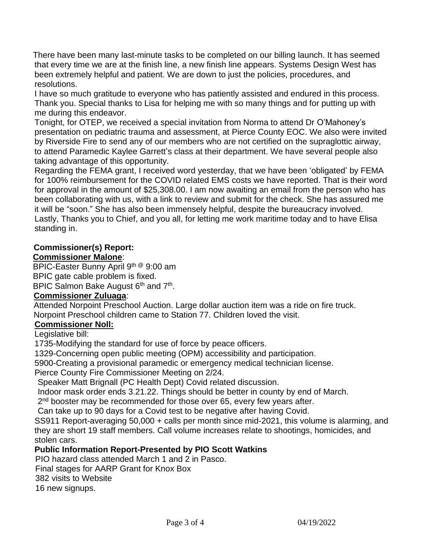There have been many last-minute tasks to be completed on our billing launch. It has seemed that every time we are at the finish line, a new finish line appears. Systems Design West has been extremely helpful and patient. We are down to just the policies, procedures, and resolutions.

I have so much gratitude to everyone who has patiently assisted and endured in this process. Thank you. Special thanks to Lisa for helping me with so many things and for putting up with me during this endeavor.

Tonight, for OTEP, we received a special invitation from Norma to attend Dr O'Mahoney's presentation on pediatric trauma and assessment, at Pierce County EOC. We also were invited by Riverside Fire to send any of our members who are not certified on the supraglottic airway, to attend Paramedic Kaylee Garrett's class at their department. We have several people also taking advantage of this opportunity.

Regarding the FEMA grant, I received word yesterday, that we have been 'obligated' by FEMA for 100% reimbursement for the COVID related EMS costs we have reported. That is their word for approval in the amount of \$25,308.00. I am now awaiting an email from the person who has been collaborating with us, with a link to review and submit for the check. She has assured me it will be "soon." She has also been immensely helpful, despite the bureaucracy involved. Lastly, Thanks you to Chief, and you all, for letting me work maritime today and to have Elisa standing in.

# **Commissioner(s) Report:**

#### **Commissioner Malone**:

BPIC-Easter Bunny April 9th @ 9:00 am BPIC gate cable problem is fixed.

BPIC Salmon Bake August 6<sup>th</sup> and 7<sup>th</sup>.

# **Commissioner Zuluaga**:

Attended Norpoint Preschool Auction. Large dollar auction item was a ride on fire truck. Norpoint Preschool children came to Station 77. Children loved the visit.

#### **Commissioner Noll:**

Legislative bill:

1735-Modifying the standard for use of force by peace officers.

1329-Concerning open public meeting (OPM) accessibility and participation.

5900-Creating a provisional paramedic or emergency medical technician license.

Pierce County Fire Commissioner Meeting on 2/24.

Speaker Matt Brignall (PC Health Dept) Covid related discussion.

Indoor mask order ends 3.21.22. Things should be better in county by end of March.

2<sup>nd</sup> booster may be recommended for those over 65, every few years after.

Can take up to 90 days for a Covid test to be negative after having Covid.

SS911 Report-averaging 50,000 + calls per month since mid-2021, this volume is alarming, and they are short 19 staff members. Call volume increases relate to shootings, homicides, and stolen cars.

#### **Public Information Report-Presented by PIO Scott Watkins**

PIO hazard class attended March 1 and 2 in Pasco.

Final stages for AARP Grant for Knox Box

382 visits to Website

16 new signups.